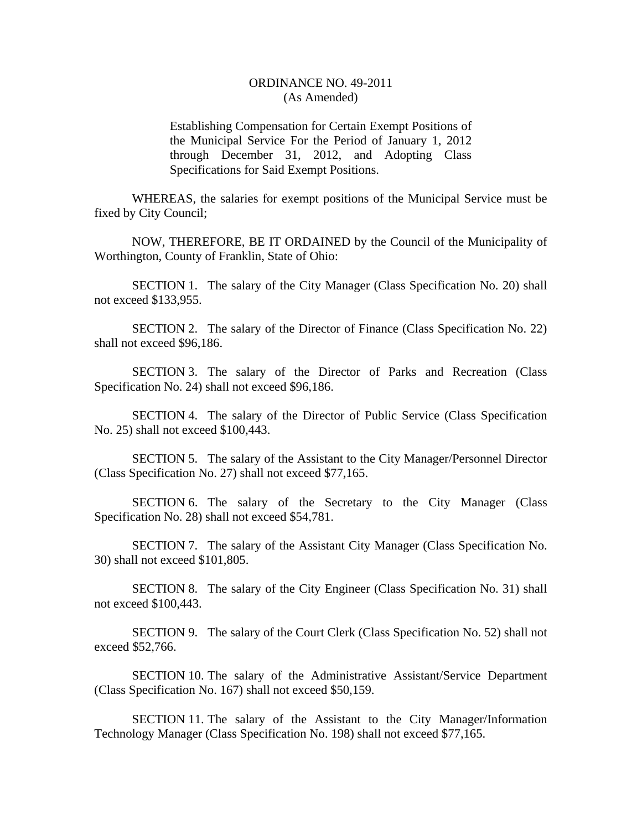## ORDINANCE NO. 49-2011 (As Amended)

Establishing Compensation for Certain Exempt Positions of the Municipal Service For the Period of January 1, 2012 through December 31, 2012, and Adopting Class Specifications for Said Exempt Positions.

WHEREAS, the salaries for exempt positions of the Municipal Service must be fixed by City Council;

NOW, THEREFORE, BE IT ORDAINED by the Council of the Municipality of Worthington, County of Franklin, State of Ohio:

SECTION 1. The salary of the City Manager (Class Specification No. 20) shall not exceed \$133,955.

SECTION 2. The salary of the Director of Finance (Class Specification No. 22) shall not exceed \$96,186.

SECTION 3. The salary of the Director of Parks and Recreation (Class Specification No. 24) shall not exceed \$96,186.

SECTION 4. The salary of the Director of Public Service (Class Specification No. 25) shall not exceed \$100,443.

SECTION 5. The salary of the Assistant to the City Manager/Personnel Director (Class Specification No. 27) shall not exceed \$77,165.

SECTION 6. The salary of the Secretary to the City Manager (Class Specification No. 28) shall not exceed \$54,781.

SECTION 7. The salary of the Assistant City Manager (Class Specification No. 30) shall not exceed \$101,805.

SECTION 8. The salary of the City Engineer (Class Specification No. 31) shall not exceed \$100,443.

SECTION 9. The salary of the Court Clerk (Class Specification No. 52) shall not exceed \$52,766.

SECTION 10. The salary of the Administrative Assistant/Service Department (Class Specification No. 167) shall not exceed \$50,159.

SECTION 11. The salary of the Assistant to the City Manager/Information Technology Manager (Class Specification No. 198) shall not exceed \$77,165.